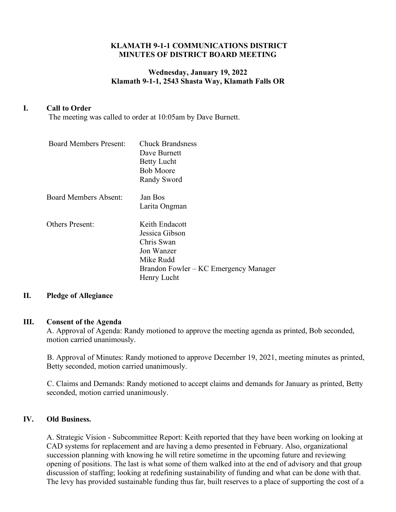### **KLAMATH 9-1-1 COMMUNICATIONS DISTRICT MINUTES OF DISTRICT BOARD MEETING**

# **Wednesday, January 19, 2022 Klamath 9-1-1, 2543 Shasta Way, Klamath Falls OR**

# **I. Call to Order**

The meeting was called to order at 10:05am by Dave Burnett.

| <b>Board Members Present:</b> | <b>Chuck Brandsness</b><br>Dave Burnett<br><b>Betty Lucht</b><br><b>Bob Moore</b><br>Randy Sword                                  |
|-------------------------------|-----------------------------------------------------------------------------------------------------------------------------------|
| <b>Board Members Absent:</b>  | Jan Bos<br>Larita Ongman                                                                                                          |
| <b>Others Present:</b>        | Keith Endacott<br>Jessica Gibson<br>Chris Swan<br>Jon Wanzer<br>Mike Rudd<br>Brandon Fowler – KC Emergency Manager<br>Henry Lucht |

#### **II. Pledge of Allegiance**

#### **III. Consent of the Agenda**

A. Approval of Agenda: Randy motioned to approve the meeting agenda as printed, Bob seconded, motion carried unanimously.

B. Approval of Minutes: Randy motioned to approve December 19, 2021, meeting minutes as printed, Betty seconded, motion carried unanimously.

C. Claims and Demands: Randy motioned to accept claims and demands for January as printed, Betty seconded, motion carried unanimously.

#### **IV. Old Business.**

A. Strategic Vision - Subcommittee Report: Keith reported that they have been working on looking at CAD systems for replacement and are having a demo presented in February. Also, organizational succession planning with knowing he will retire sometime in the upcoming future and reviewing opening of positions. The last is what some of them walked into at the end of advisory and that group discussion of staffing; looking at redefining sustainability of funding and what can be done with that. The levy has provided sustainable funding thus far, built reserves to a place of supporting the cost of a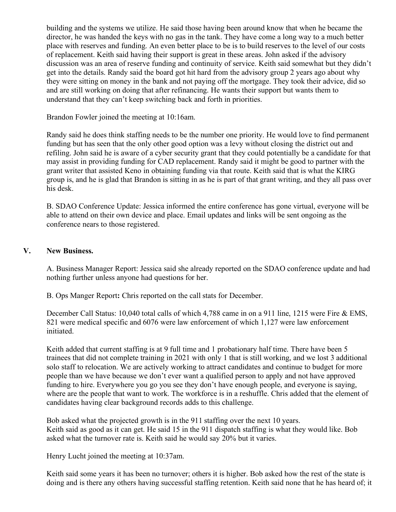building and the systems we utilize. He said those having been around know that when he became the director, he was handed the keys with no gas in the tank. They have come a long way to a much better place with reserves and funding. An even better place to be is to build reserves to the level of our costs of replacement. Keith said having their support is great in these areas. John asked if the advisory discussion was an area of reserve funding and continuity of service. Keith said somewhat but they didn't get into the details. Randy said the board got hit hard from the advisory group 2 years ago about why they were sitting on money in the bank and not paying off the mortgage. They took their advice, did so and are still working on doing that after refinancing. He wants their support but wants them to understand that they can't keep switching back and forth in priorities.

Brandon Fowler joined the meeting at 10:16am.

Randy said he does think staffing needs to be the number one priority. He would love to find permanent funding but has seen that the only other good option was a levy without closing the district out and refiling. John said he is aware of a cyber security grant that they could potentially be a candidate for that may assist in providing funding for CAD replacement. Randy said it might be good to partner with the grant writer that assisted Keno in obtaining funding via that route. Keith said that is what the KIRG group is, and he is glad that Brandon is sitting in as he is part of that grant writing, and they all pass over his desk.

B. SDAO Conference Update: Jessica informed the entire conference has gone virtual, everyone will be able to attend on their own device and place. Email updates and links will be sent ongoing as the conference nears to those registered.

## **V. New Business.**

A. Business Manager Report: Jessica said she already reported on the SDAO conference update and had nothing further unless anyone had questions for her.

B. Ops Manger Report**:** Chris reported on the call stats for December.

December Call Status: 10,040 total calls of which 4,788 came in on a 911 line, 1215 were Fire & EMS, 821 were medical specific and 6076 were law enforcement of which 1,127 were law enforcement initiated.

Keith added that current staffing is at 9 full time and 1 probationary half time. There have been 5 trainees that did not complete training in 2021 with only 1 that is still working, and we lost 3 additional solo staff to relocation. We are actively working to attract candidates and continue to budget for more people than we have because we don't ever want a qualified person to apply and not have approved funding to hire. Everywhere you go you see they don't have enough people, and everyone is saying, where are the people that want to work. The workforce is in a reshuffle. Chris added that the element of candidates having clear background records adds to this challenge.

Bob asked what the projected growth is in the 911 staffing over the next 10 years. Keith said as good as it can get. He said 15 in the 911 dispatch staffing is what they would like. Bob asked what the turnover rate is. Keith said he would say 20% but it varies.

Henry Lucht joined the meeting at 10:37am.

Keith said some years it has been no turnover; others it is higher. Bob asked how the rest of the state is doing and is there any others having successful staffing retention. Keith said none that he has heard of; it